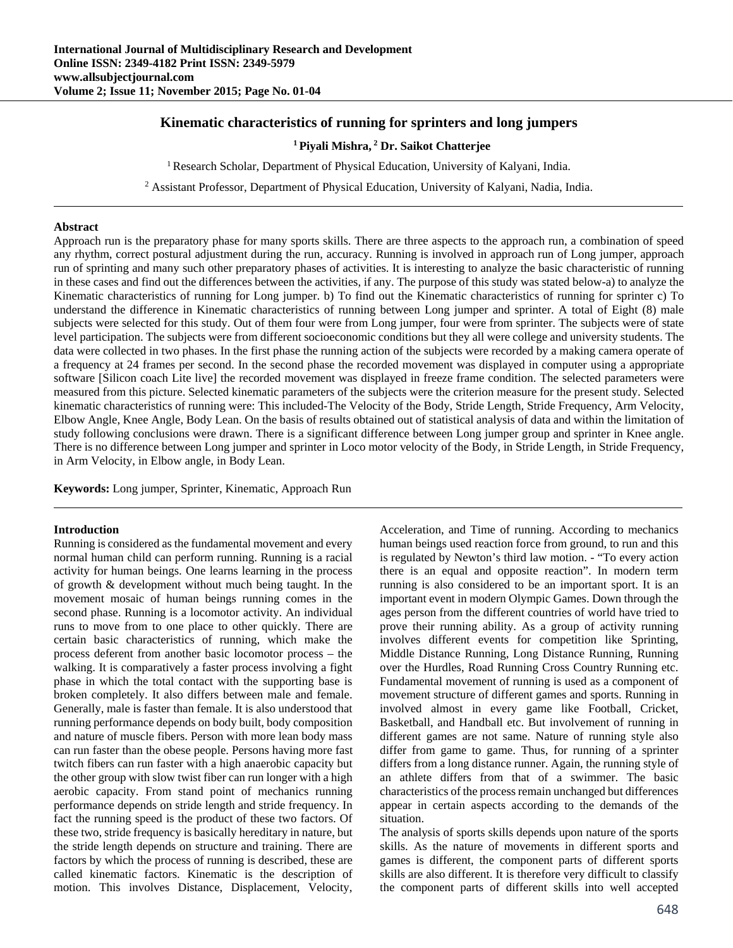# **Kinematic characteristics of running for sprinters and long jumpers**

# **1 Piyali Mishra, 2 Dr. Saikot Chatterjee**

<sup>1</sup> Research Scholar, Department of Physical Education, University of Kalyani, India.

<sup>2</sup> Assistant Professor, Department of Physical Education, University of Kalyani, Nadia, India.

### **Abstract**

Approach run is the preparatory phase for many sports skills. There are three aspects to the approach run, a combination of speed any rhythm, correct postural adjustment during the run, accuracy. Running is involved in approach run of Long jumper, approach run of sprinting and many such other preparatory phases of activities. It is interesting to analyze the basic characteristic of running in these cases and find out the differences between the activities, if any. The purpose of this study was stated below-a) to analyze the Kinematic characteristics of running for Long jumper. b) To find out the Kinematic characteristics of running for sprinter c) To understand the difference in Kinematic characteristics of running between Long jumper and sprinter. A total of Eight (8) male subjects were selected for this study. Out of them four were from Long jumper, four were from sprinter. The subjects were of state level participation. The subjects were from different socioeconomic conditions but they all were college and university students. The data were collected in two phases. In the first phase the running action of the subjects were recorded by a making camera operate of a frequency at 24 frames per second. In the second phase the recorded movement was displayed in computer using a appropriate software [Silicon coach Lite live] the recorded movement was displayed in freeze frame condition. The selected parameters were measured from this picture. Selected kinematic parameters of the subjects were the criterion measure for the present study. Selected kinematic characteristics of running were: This included-The Velocity of the Body, Stride Length, Stride Frequency, Arm Velocity, Elbow Angle, Knee Angle, Body Lean. On the basis of results obtained out of statistical analysis of data and within the limitation of study following conclusions were drawn. There is a significant difference between Long jumper group and sprinter in Knee angle. There is no difference between Long jumper and sprinter in Loco motor velocity of the Body, in Stride Length, in Stride Frequency, in Arm Velocity, in Elbow angle, in Body Lean.

**Keywords:** Long jumper, Sprinter, Kinematic, Approach Run

### **Introduction**

Running is considered as the fundamental movement and every normal human child can perform running. Running is a racial activity for human beings. One learns learning in the process of growth & development without much being taught. In the movement mosaic of human beings running comes in the second phase. Running is a locomotor activity. An individual runs to move from to one place to other quickly. There are certain basic characteristics of running, which make the process deferent from another basic locomotor process – the walking. It is comparatively a faster process involving a fight phase in which the total contact with the supporting base is broken completely. It also differs between male and female. Generally, male is faster than female. It is also understood that running performance depends on body built, body composition and nature of muscle fibers. Person with more lean body mass can run faster than the obese people. Persons having more fast twitch fibers can run faster with a high anaerobic capacity but the other group with slow twist fiber can run longer with a high aerobic capacity. From stand point of mechanics running performance depends on stride length and stride frequency. In fact the running speed is the product of these two factors. Of these two, stride frequency is basically hereditary in nature, but the stride length depends on structure and training. There are factors by which the process of running is described, these are called kinematic factors. Kinematic is the description of motion. This involves Distance, Displacement, Velocity,

Acceleration, and Time of running. According to mechanics human beings used reaction force from ground, to run and this is regulated by Newton's third law motion. - "To every action there is an equal and opposite reaction". In modern term running is also considered to be an important sport. It is an important event in modern Olympic Games. Down through the ages person from the different countries of world have tried to prove their running ability. As a group of activity running involves different events for competition like Sprinting, Middle Distance Running, Long Distance Running, Running over the Hurdles, Road Running Cross Country Running etc. Fundamental movement of running is used as a component of movement structure of different games and sports. Running in involved almost in every game like Football, Cricket, Basketball, and Handball etc. But involvement of running in different games are not same. Nature of running style also differ from game to game. Thus, for running of a sprinter differs from a long distance runner. Again, the running style of an athlete differs from that of a swimmer. The basic characteristics of the process remain unchanged but differences appear in certain aspects according to the demands of the situation.

The analysis of sports skills depends upon nature of the sports skills. As the nature of movements in different sports and games is different, the component parts of different sports skills are also different. It is therefore very difficult to classify the component parts of different skills into well accepted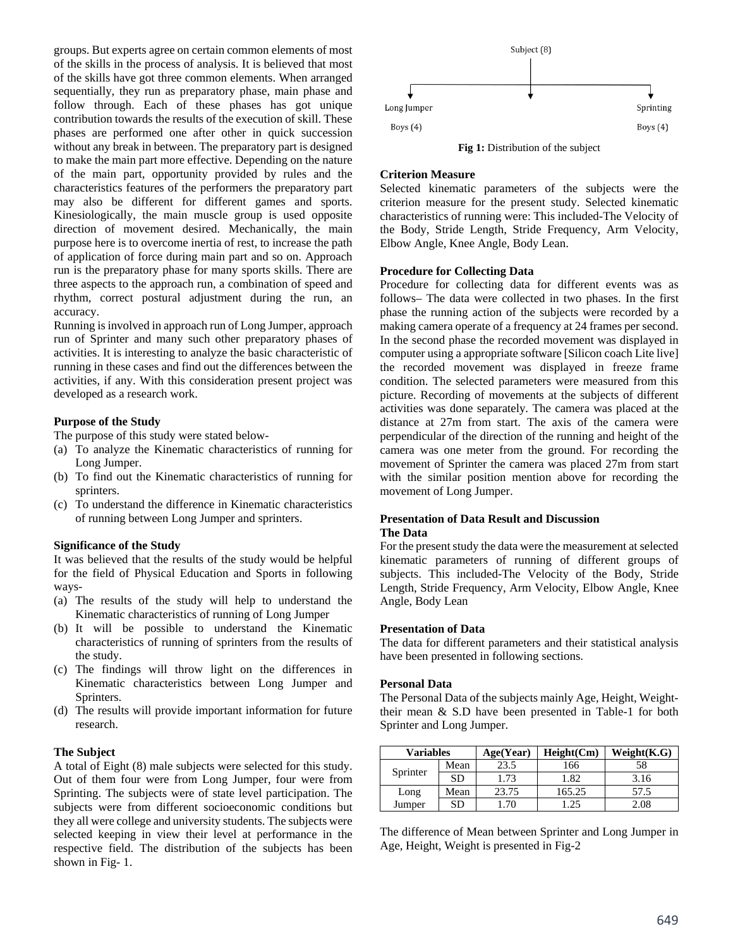groups. But experts agree on certain common elements of most of the skills in the process of analysis. It is believed that most of the skills have got three common elements. When arranged sequentially, they run as preparatory phase, main phase and follow through. Each of these phases has got unique contribution towards the results of the execution of skill. These phases are performed one after other in quick succession without any break in between. The preparatory part is designed to make the main part more effective. Depending on the nature of the main part, opportunity provided by rules and the characteristics features of the performers the preparatory part may also be different for different games and sports. Kinesiologically, the main muscle group is used opposite direction of movement desired. Mechanically, the main purpose here is to overcome inertia of rest, to increase the path of application of force during main part and so on. Approach run is the preparatory phase for many sports skills. There are three aspects to the approach run, a combination of speed and rhythm, correct postural adjustment during the run, an accuracy.

Running is involved in approach run of Long Jumper, approach run of Sprinter and many such other preparatory phases of activities. It is interesting to analyze the basic characteristic of running in these cases and find out the differences between the activities, if any. With this consideration present project was developed as a research work.

# **Purpose of the Study**

The purpose of this study were stated below-

- (a) To analyze the Kinematic characteristics of running for Long Jumper.
- (b) To find out the Kinematic characteristics of running for sprinters.
- (c) To understand the difference in Kinematic characteristics of running between Long Jumper and sprinters.

### **Significance of the Study**

It was believed that the results of the study would be helpful for the field of Physical Education and Sports in following ways-

- (a) The results of the study will help to understand the Kinematic characteristics of running of Long Jumper
- (b) It will be possible to understand the Kinematic characteristics of running of sprinters from the results of the study.
- (c) The findings will throw light on the differences in Kinematic characteristics between Long Jumper and Sprinters.
- (d) The results will provide important information for future research.

#### **The Subject**

A total of Eight (8) male subjects were selected for this study. Out of them four were from Long Jumper, four were from Sprinting. The subjects were of state level participation. The subjects were from different socioeconomic conditions but they all were college and university students. The subjects were selected keeping in view their level at performance in the respective field. The distribution of the subjects has been shown in Fig- 1.



**Fig 1:** Distribution of the subject

#### **Criterion Measure**

Selected kinematic parameters of the subjects were the criterion measure for the present study. Selected kinematic characteristics of running were: This included-The Velocity of the Body, Stride Length, Stride Frequency, Arm Velocity, Elbow Angle, Knee Angle, Body Lean.

#### **Procedure for Collecting Data**

Procedure for collecting data for different events was as follows– The data were collected in two phases. In the first phase the running action of the subjects were recorded by a making camera operate of a frequency at 24 frames per second. In the second phase the recorded movement was displayed in computer using a appropriate software [Silicon coach Lite live] the recorded movement was displayed in freeze frame condition. The selected parameters were measured from this picture. Recording of movements at the subjects of different activities was done separately. The camera was placed at the distance at 27m from start. The axis of the camera were perpendicular of the direction of the running and height of the camera was one meter from the ground. For recording the movement of Sprinter the camera was placed 27m from start with the similar position mention above for recording the movement of Long Jumper.

# **Presentation of Data Result and Discussion The Data**

For the present study the data were the measurement at selected kinematic parameters of running of different groups of subjects. This included-The Velocity of the Body, Stride Length, Stride Frequency, Arm Velocity, Elbow Angle, Knee Angle, Body Lean

### **Presentation of Data**

The data for different parameters and their statistical analysis have been presented in following sections.

#### **Personal Data**

The Personal Data of the subjects mainly Age, Height, Weighttheir mean & S.D have been presented in Table-1 for both Sprinter and Long Jumper.

| <b>Variables</b> |           | Age(Year) | Height(Cm) | Weight(K.G) |
|------------------|-----------|-----------|------------|-------------|
|                  | Mean      | 23.5      | 166        | 58          |
| Sprinter         | <b>SD</b> | 1.73      | 1.82       | 3.16        |
| Long             | Mean      | 23.75     | 165.25     | 57.5        |
| Jumper           | SD        | .70       | .25        | 2.08        |

The difference of Mean between Sprinter and Long Jumper in Age, Height, Weight is presented in Fig-2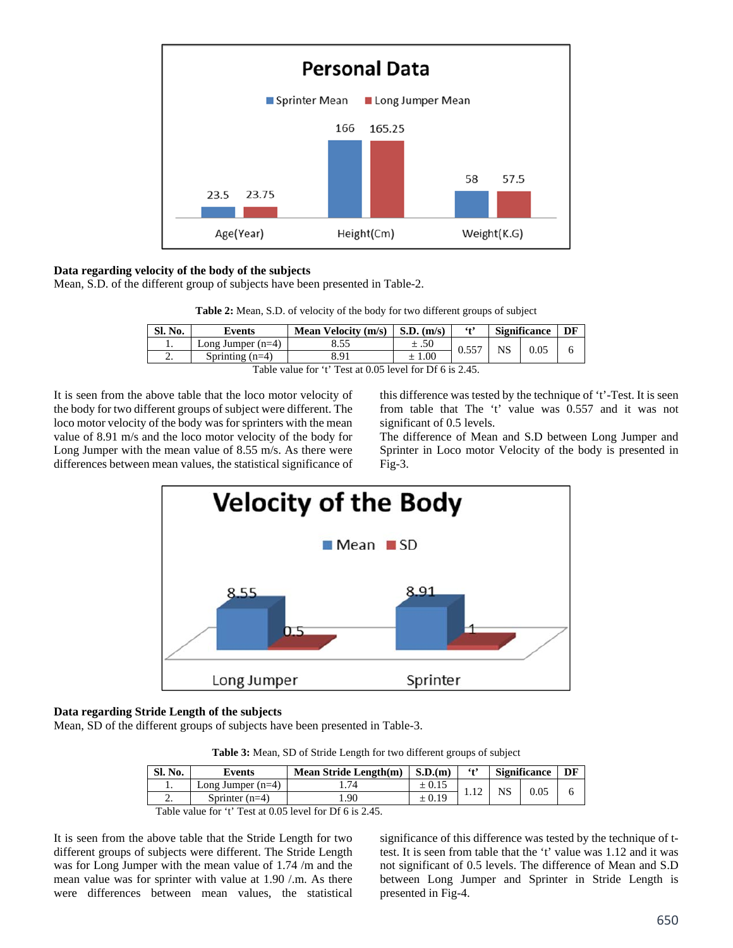

# **Data regarding velocity of the body of the subjects**

Mean, S.D. of the different group of subjects have been presented in Table-2.

| Table 2: Mean, S.D. of velocity of the body for two different groups of subject |  |  |  |  |  |  |
|---------------------------------------------------------------------------------|--|--|--|--|--|--|
|---------------------------------------------------------------------------------|--|--|--|--|--|--|

| Sl. No.  | Events              | <b>Mean Velocity (m/s)</b> | $S.D.$ (m/s) | 64°   | <b>Significance</b> |      | DF |
|----------|---------------------|----------------------------|--------------|-------|---------------------|------|----|
|          | Long Jumper $(n=4)$ | 8.55                       | ±.50         | 0.557 | NS                  | 0.05 |    |
| <u>.</u> | Sprinting $(n=4)$   | 3 O.I                      | 0.00         |       |                     |      |    |

Table value for 't' Test at 0.05 level for Df 6 is 2.45.

It is seen from the above table that the loco motor velocity of the body for two different groups of subject were different. The loco motor velocity of the body was for sprinters with the mean value of 8.91 m/s and the loco motor velocity of the body for Long Jumper with the mean value of 8.55 m/s. As there were differences between mean values, the statistical significance of this difference was tested by the technique of 't'-Test. It is seen from table that The 't' value was 0.557 and it was not significant of 0.5 levels.

The difference of Mean and S.D between Long Jumper and Sprinter in Loco motor Velocity of the body is presented in Fig-3.



## **Data regarding Stride Length of the subjects**

Mean, SD of the different groups of subjects have been presented in Table-3.

**Table 3:** Mean, SD of Stride Length for two different groups of subject

| Sl. No.  | Events              | <b>Mean Stride Length(m)</b> | S.D.(m)    | $6 + 9$ | <b>Significance</b> |  | DF |
|----------|---------------------|------------------------------|------------|---------|---------------------|--|----|
| . .      | Long Jumper $(n=4)$ | 74                           | $\pm 0.15$ |         |                     |  |    |
| <u>.</u> | Sprinter $(n=4)$    | .90                          |            |         |                     |  |    |

Table value for 't' Test at 0.05 level for Df 6 is 2.45.

It is seen from the above table that the Stride Length for two different groups of subjects were different. The Stride Length was for Long Jumper with the mean value of 1.74 /m and the mean value was for sprinter with value at 1.90 /.m. As there were differences between mean values, the statistical

significance of this difference was tested by the technique of ttest. It is seen from table that the 't' value was 1.12 and it was not significant of 0.5 levels. The difference of Mean and S.D between Long Jumper and Sprinter in Stride Length is presented in Fig-4.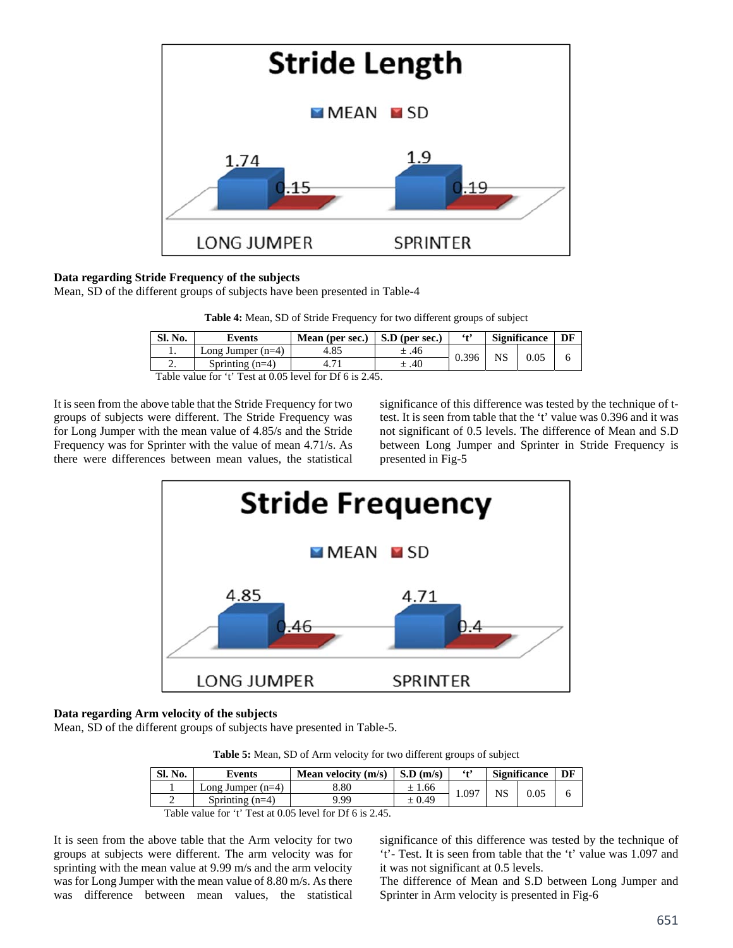

# **Data regarding Stride Frequency of the subjects**

Mean, SD of the different groups of subjects have been presented in Table-4

| Table 4: Mean, SD of Stride Frequency for two different groups of subject |  |  |  |
|---------------------------------------------------------------------------|--|--|--|
|                                                                           |  |  |  |

| Sl. No.  | Events              | Mean (per sec.)             | S.D (per sec.) | $6 + 5$ | <b>Significance</b> |      | DF |
|----------|---------------------|-----------------------------|----------------|---------|---------------------|------|----|
|          | Long Jumper $(n=4)$ | 4.85                        | ± .46          | 0.396   | NS                  | 0.05 |    |
| <u>.</u> | Sprinting $(n=4)$   |                             | .40            |         |                     |      |    |
| $-1$     |                     | . <i>.</i><br>$\sim$ $\sim$ |                |         |                     |      |    |

Table value for 't' Test at 0.05 level for Df 6 is 2.45.

It is seen from the above table that the Stride Frequency for two groups of subjects were different. The Stride Frequency was for Long Jumper with the mean value of 4.85/s and the Stride Frequency was for Sprinter with the value of mean 4.71/s. As there were differences between mean values, the statistical significance of this difference was tested by the technique of ttest. It is seen from table that the 't' value was 0.396 and it was not significant of 0.5 levels. The difference of Mean and S.D between Long Jumper and Sprinter in Stride Frequency is presented in Fig-5



### **Data regarding Arm velocity of the subjects**

Mean, SD of the different groups of subjects have presented in Table-5.

**Table 5:** Mean, SD of Arm velocity for two different groups of subject

| Sl. No. | Events              | Mean velocity $(m/s)$ | $\mathbf{S}.\mathbf{D}$ (m/s) | $6 + 2$ | <b>Significance</b> |      | DF |
|---------|---------------------|-----------------------|-------------------------------|---------|---------------------|------|----|
|         | Long Jumper $(n=4)$ | 3.80                  | ±1.66                         |         |                     | 0.05 |    |
|         | Sprinting $(n=4)$   | 9.99                  | ± 0.49                        | 0.097   |                     |      |    |

Table value for 't' Test at 0.05 level for Df 6 is 2.45.

It is seen from the above table that the Arm velocity for two groups at subjects were different. The arm velocity was for sprinting with the mean value at 9.99 m/s and the arm velocity was for Long Jumper with the mean value of 8.80 m/s. As there was difference between mean values, the statistical

significance of this difference was tested by the technique of 't'- Test. It is seen from table that the 't' value was 1.097 and it was not significant at 0.5 levels.

The difference of Mean and S.D between Long Jumper and Sprinter in Arm velocity is presented in Fig-6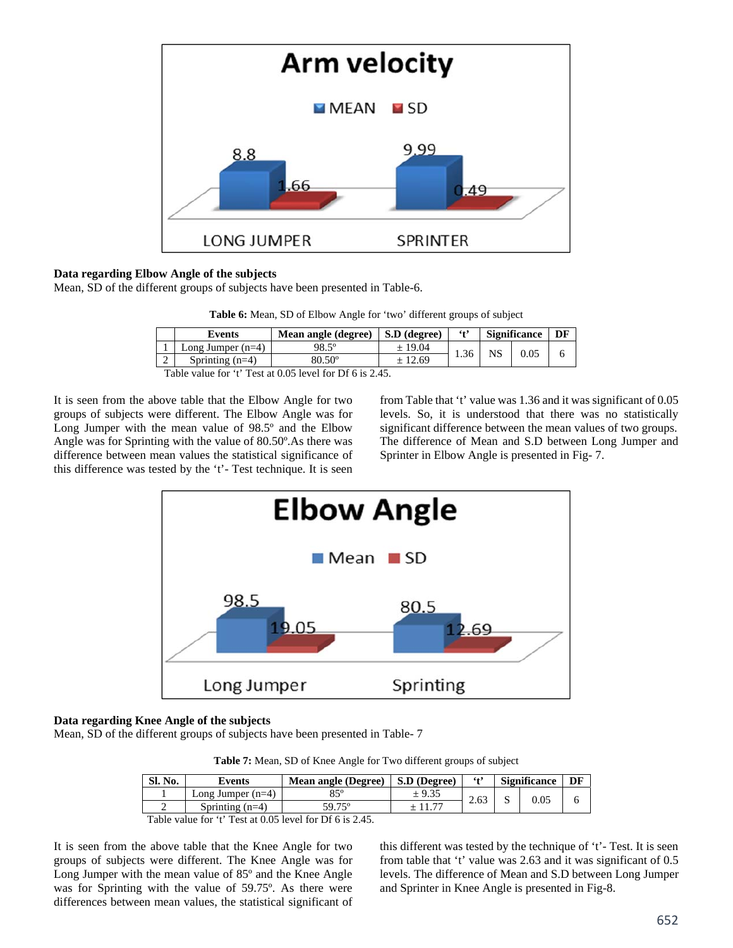

# **Data regarding Elbow Angle of the subjects**

Mean, SD of the different groups of subjects have been presented in Table-6.

| Table 6: Mean, SD of Elbow Angle for 'two' different groups of subject |  |  |  |  |  |  |
|------------------------------------------------------------------------|--|--|--|--|--|--|
|------------------------------------------------------------------------|--|--|--|--|--|--|

| Events              | <b>Mean angle (degree)</b>                 | S.D (degree) | $6 + 9$ | <b>Significance</b> |  |  |
|---------------------|--------------------------------------------|--------------|---------|---------------------|--|--|
| Long Jumper $(n=4)$ | 98.5°                                      | ± 19.04      | 1.36    |                     |  |  |
| Sprinting $(n=4)$   | $80.50^\circ$                              | ± 12.69      |         |                     |  |  |
| $\sim$ $\sim$       | $\alpha$ and contract the present $\alpha$ |              |         |                     |  |  |

Table value for 't' Test at 0.05 level for Df 6 is 2.45.

It is seen from the above table that the Elbow Angle for two groups of subjects were different. The Elbow Angle was for Long Jumper with the mean value of 98.5º and the Elbow Angle was for Sprinting with the value of 80.50º.As there was difference between mean values the statistical significance of this difference was tested by the 't'- Test technique. It is seen from Table that 't' value was 1.36 and it was significant of 0.05 levels. So, it is understood that there was no statistically significant difference between the mean values of two groups. The difference of Mean and S.D between Long Jumper and Sprinter in Elbow Angle is presented in Fig- 7.



# **Data regarding Knee Angle of the subjects**

Mean, SD of the different groups of subjects have been presented in Table- 7

**Table 7:** Mean, SD of Knee Angle for Two different groups of subject

| <b>Sl. No.</b> | Events            | <b>Significance</b><br>$6 + 2$<br>S.D (Degree)<br><b>Mean angle (Degree)</b> |  |      | DF |      |  |
|----------------|-------------------|------------------------------------------------------------------------------|--|------|----|------|--|
|                | Long Jumper (n=4) | Qςo                                                                          |  | 2.63 |    | 0.05 |  |
|                | Sprinting $(n=4)$ | 59.75°                                                                       |  |      |    |      |  |

Table value for 't' Test at 0.05 level for Df 6 is 2.45.

It is seen from the above table that the Knee Angle for two groups of subjects were different. The Knee Angle was for Long Jumper with the mean value of 85º and the Knee Angle was for Sprinting with the value of 59.75º. As there were differences between mean values, the statistical significant of this different was tested by the technique of 't'- Test. It is seen from table that 't' value was 2.63 and it was significant of 0.5 levels. The difference of Mean and S.D between Long Jumper and Sprinter in Knee Angle is presented in Fig-8.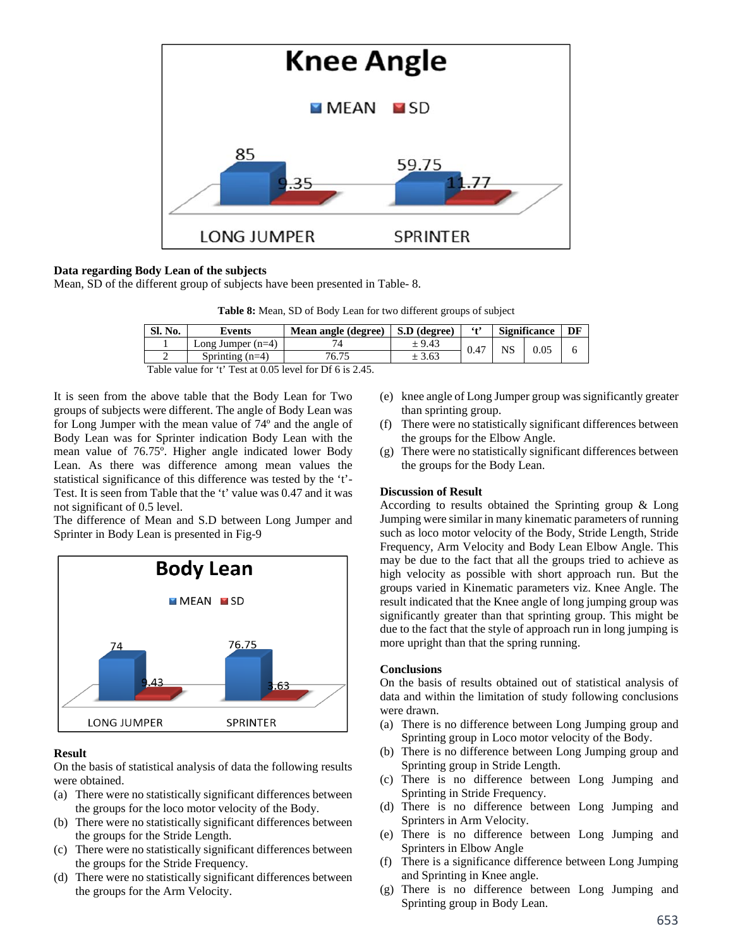

### **Data regarding Body Lean of the subjects**

Mean, SD of the different group of subjects have been presented in Table- 8.

| Table 8: Mean, SD of Body Lean for two different groups of subject |  |  |
|--------------------------------------------------------------------|--|--|
|                                                                    |  |  |

| <b>Sl. No.</b> | Events                     | Mean angle (degree) | S.D (degree) | $6 + 9$ | <b>Significance</b> |  |
|----------------|----------------------------|---------------------|--------------|---------|---------------------|--|
|                | Long Jumper $(n=4)$        |                     | ± 9.43       | 0.47    | 0.05                |  |
|                | Sprinting $(n=4)$          | 76.75               | ± 3.63       |         |                     |  |
| $\sim$ $\sim$  | $\alpha$ $\alpha$ $\alpha$ |                     |              |         |                     |  |

Table value for 't' Test at 0.05 level for Df 6 is 2.45.

It is seen from the above table that the Body Lean for Two groups of subjects were different. The angle of Body Lean was for Long Jumper with the mean value of 74º and the angle of Body Lean was for Sprinter indication Body Lean with the mean value of 76.75º. Higher angle indicated lower Body Lean. As there was difference among mean values the statistical significance of this difference was tested by the 't'- Test. It is seen from Table that the 't' value was 0.47 and it was not significant of 0.5 level.

The difference of Mean and S.D between Long Jumper and Sprinter in Body Lean is presented in Fig-9



### **Result**

On the basis of statistical analysis of data the following results were obtained.

- (a) There were no statistically significant differences between the groups for the loco motor velocity of the Body.
- (b) There were no statistically significant differences between the groups for the Stride Length.
- (c) There were no statistically significant differences between the groups for the Stride Frequency.
- (d) There were no statistically significant differences between the groups for the Arm Velocity.
- (e) knee angle of Long Jumper group was significantly greater than sprinting group.
- (f) There were no statistically significant differences between the groups for the Elbow Angle.
- (g) There were no statistically significant differences between the groups for the Body Lean.

### **Discussion of Result**

According to results obtained the Sprinting group & Long Jumping were similar in many kinematic parameters of running such as loco motor velocity of the Body, Stride Length, Stride Frequency, Arm Velocity and Body Lean Elbow Angle. This may be due to the fact that all the groups tried to achieve as high velocity as possible with short approach run. But the groups varied in Kinematic parameters viz. Knee Angle. The result indicated that the Knee angle of long jumping group was significantly greater than that sprinting group. This might be due to the fact that the style of approach run in long jumping is more upright than that the spring running.

### **Conclusions**

On the basis of results obtained out of statistical analysis of data and within the limitation of study following conclusions were drawn.

- (a) There is no difference between Long Jumping group and Sprinting group in Loco motor velocity of the Body.
- (b) There is no difference between Long Jumping group and Sprinting group in Stride Length.
- (c) There is no difference between Long Jumping and Sprinting in Stride Frequency.
- (d) There is no difference between Long Jumping and Sprinters in Arm Velocity.
- (e) There is no difference between Long Jumping and Sprinters in Elbow Angle
- (f) There is a significance difference between Long Jumping and Sprinting in Knee angle.
- (g) There is no difference between Long Jumping and Sprinting group in Body Lean.